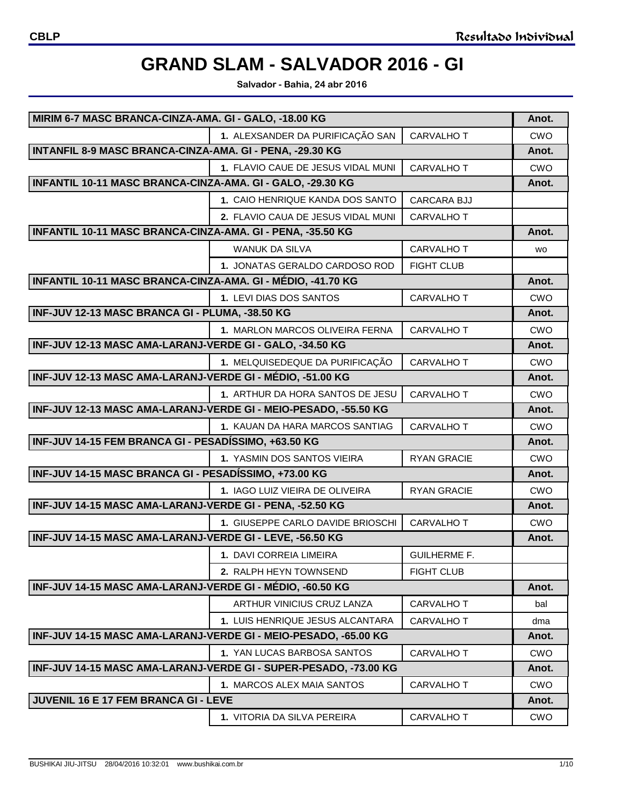**Salvador - Bahia, 24 abr 2016**

| MIRIM 6-7 MASC BRANCA-CINZA-AMA. GI - GALO, -18.00 KG       |                                                                  |                     | Anot.      |
|-------------------------------------------------------------|------------------------------------------------------------------|---------------------|------------|
|                                                             | 1. ALEXSANDER DA PURIFICAÇÃO SAN                                 | <b>CARVALHO T</b>   | CWO        |
| INTANFIL 8-9 MASC BRANCA-CINZA-AMA. GI - PENA, -29.30 KG    |                                                                  |                     | Anot.      |
|                                                             | 1. FLAVIO CAUE DE JESUS VIDAL MUNI                               | <b>CARVALHO T</b>   | CWO        |
| INFANTIL 10-11 MASC BRANCA-CINZA-AMA. GI - GALO, -29.30 KG  |                                                                  |                     | Anot.      |
|                                                             | 1. CAIO HENRIQUE KANDA DOS SANTO                                 | <b>CARCARA BJJ</b>  |            |
|                                                             | 2. FLAVIO CAUA DE JESUS VIDAL MUNI                               | <b>CARVALHO T</b>   |            |
| INFANTIL 10-11 MASC BRANCA-CINZA-AMA. GI - PENA, -35.50 KG  |                                                                  |                     | Anot.      |
|                                                             | <b>WANUK DA SILVA</b>                                            | <b>CARVALHO T</b>   | <b>WO</b>  |
|                                                             | 1. JONATAS GERALDO CARDOSO ROD                                   | <b>FIGHT CLUB</b>   |            |
| INFANTIL 10-11 MASC BRANCA-CINZA-AMA. GI - MÉDIO, -41.70 KG |                                                                  |                     | Anot.      |
|                                                             | 1. LEVI DIAS DOS SANTOS                                          | <b>CARVALHO T</b>   | <b>CWO</b> |
| INF-JUV 12-13 MASC BRANCA GI - PLUMA, -38.50 KG             |                                                                  |                     | Anot.      |
|                                                             | 1. MARLON MARCOS OLIVEIRA FERNA                                  | <b>CARVALHO T</b>   | <b>CWO</b> |
| INF-JUV 12-13 MASC AMA-LARANJ-VERDE GI - GALO, -34.50 KG    |                                                                  |                     | Anot.      |
|                                                             | 1. MELQUISEDEQUE DA PURIFICAÇÃO                                  | <b>CARVALHO T</b>   | CWO        |
| INF-JUV 12-13 MASC AMA-LARANJ-VERDE GI - MÉDIO, -51.00 KG   |                                                                  |                     | Anot.      |
|                                                             | 1. ARTHUR DA HORA SANTOS DE JESU                                 | <b>CARVALHO T</b>   | <b>CWO</b> |
|                                                             | INF-JUV 12-13 MASC AMA-LARANJ-VERDE GI - MEIO-PESADO, -55.50 KG  |                     | Anot.      |
|                                                             | 1. KAUAN DA HARA MARCOS SANTIAG                                  | <b>CARVALHO T</b>   | CWO        |
| INF-JUV 14-15 FEM BRANCA GI - PESADÍSSIMO, +63.50 KG        |                                                                  |                     | Anot.      |
|                                                             | 1. YASMIN DOS SANTOS VIEIRA                                      | <b>RYAN GRACIE</b>  | CWO        |
| INF-JUV 14-15 MASC BRANCA GI - PESADÍSSIMO, +73.00 KG       |                                                                  |                     | Anot.      |
|                                                             | <b>1. IAGO LUIZ VIEIRA DE OLIVEIRA</b>                           | <b>RYAN GRACIE</b>  | <b>CWO</b> |
| INF-JUV 14-15 MASC AMA-LARANJ-VERDE GI - PENA, -52.50 KG    |                                                                  | Anot.               |            |
|                                                             | 1. GIUSEPPE CARLO DAVIDE BRIOSCHI                                | <b>CARVALHO T</b>   | <b>CWO</b> |
| INF-JUV 14-15 MASC AMA-LARANJ-VERDE GI - LEVE, -56.50 KG    |                                                                  |                     | Anot.      |
|                                                             | 1. DAVI CORREIA LIMEIRA                                          | <b>GUILHERME F.</b> |            |
|                                                             | 2. RALPH HEYN TOWNSEND                                           | <b>FIGHT CLUB</b>   |            |
| INF-JUV 14-15 MASC AMA-LARANJ-VERDE GI - MÉDIO, -60.50 KG   |                                                                  |                     | Anot.      |
|                                                             | ARTHUR VINICIUS CRUZ LANZA                                       | CARVALHO T          | bal        |
|                                                             | 1. LUIS HENRIQUE JESUS ALCANTARA                                 | CARVALHO T          | dma        |
|                                                             | INF-JUV 14-15 MASC AMA-LARANJ-VERDE GI - MEIO-PESADO, -65.00 KG  |                     | Anot.      |
|                                                             | 1. YAN LUCAS BARBOSA SANTOS                                      | CARVALHO T          | <b>CWO</b> |
|                                                             | INF-JUV 14-15 MASC AMA-LARANJ-VERDE GI - SUPER-PESADO, -73.00 KG |                     | Anot.      |
|                                                             | 1. MARCOS ALEX MAIA SANTOS                                       | CARVALHO T          | <b>CWO</b> |
| <b>JUVENIL 16 E 17 FEM BRANCA GI - LEVE</b>                 |                                                                  |                     | Anot.      |
|                                                             | 1. VITORIA DA SILVA PEREIRA                                      | CARVALHO T          | <b>CWO</b> |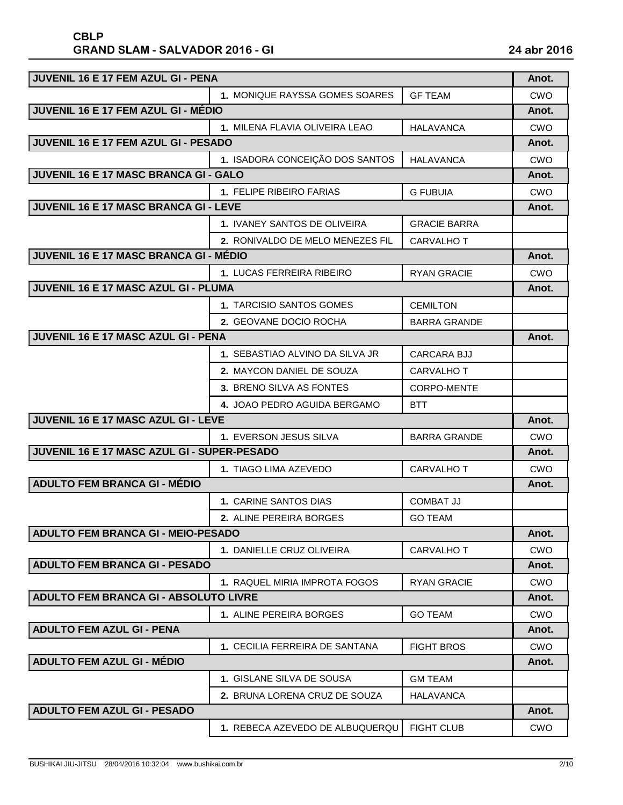| <b>JUVENIL 16 E 17 FEM AZUL GI - PENA</b>     |                                  |                     | Anot.      |
|-----------------------------------------------|----------------------------------|---------------------|------------|
|                                               | 1. MONIQUE RAYSSA GOMES SOARES   | <b>GF TEAM</b>      | <b>CWO</b> |
| JUVENIL 16 E 17 FEM AZUL GI - MÉDIO           |                                  |                     | Anot.      |
|                                               | 1. MILENA FLAVIA OLIVEIRA LEAO   | <b>HALAVANCA</b>    | CWO        |
| JUVENIL 16 E 17 FEM AZUL GI - PESADO          |                                  |                     | Anot.      |
|                                               | 1. ISADORA CONCEIÇÃO DOS SANTOS  | <b>HALAVANCA</b>    | <b>CWO</b> |
| JUVENIL 16 E 17 MASC BRANCA GI - GALO         |                                  |                     | Anot.      |
|                                               | 1. FELIPE RIBEIRO FARIAS         | <b>G FUBUIA</b>     | <b>CWO</b> |
| JUVENIL 16 E 17 MASC BRANCA GI - LEVE         |                                  |                     | Anot.      |
|                                               | 1. IVANEY SANTOS DE OLIVEIRA     | <b>GRACIE BARRA</b> |            |
|                                               | 2. RONIVALDO DE MELO MENEZES FIL | <b>CARVALHO T</b>   |            |
| <b>JUVENIL 16 E 17 MASC BRANCA GI - MÉDIO</b> |                                  |                     | Anot.      |
|                                               | 1. LUCAS FERREIRA RIBEIRO        | <b>RYAN GRACIE</b>  | <b>CWO</b> |
| JUVENIL 16 E 17 MASC AZUL GI - PLUMA          |                                  |                     | Anot.      |
|                                               | 1. TARCISIO SANTOS GOMES         | <b>CEMILTON</b>     |            |
|                                               | 2. GEOVANE DOCIO ROCHA           | <b>BARRA GRANDE</b> |            |
| JUVENIL 16 E 17 MASC AZUL GI - PENA           |                                  |                     | Anot.      |
|                                               | 1. SEBASTIAO ALVINO DA SILVA JR  | CARCARA BJJ         |            |
|                                               | 2. MAYCON DANIEL DE SOUZA        | <b>CARVALHO T</b>   |            |
|                                               | 3. BRENO SILVA AS FONTES         | <b>CORPO-MENTE</b>  |            |
|                                               | 4. JOAO PEDRO AGUIDA BERGAMO     | <b>BTT</b>          |            |
| JUVENIL 16 E 17 MASC AZUL GI - LEVE           |                                  |                     | Anot.      |
|                                               | 1. EVERSON JESUS SILVA           | <b>BARRA GRANDE</b> | <b>CWO</b> |
| JUVENIL 16 E 17 MASC AZUL GI - SUPER-PESADO   |                                  |                     | Anot.      |
|                                               | 1. TIAGO LIMA AZEVEDO            | <b>CARVALHO T</b>   | <b>CWO</b> |
| <b>ADULTO FEM BRANCA GI - MÉDIO</b>           |                                  |                     | Anot.      |
|                                               | 1. CARINE SANTOS DIAS            | <b>COMBAT JJ</b>    |            |
|                                               | 2. ALINE PEREIRA BORGES          | <b>GO TEAM</b>      |            |
| <b>ADULTO FEM BRANCA GI - MEIO-PESADO</b>     |                                  |                     | Anot.      |
|                                               | 1. DANIELLE CRUZ OLIVEIRA        | <b>CARVALHO T</b>   | <b>CWO</b> |
| <b>ADULTO FEM BRANCA GI - PESADO</b>          |                                  |                     | Anot.      |
|                                               | 1. RAQUEL MIRIA IMPROTA FOGOS    | <b>RYAN GRACIE</b>  | CWO        |
| ADULTO FEM BRANCA GI - ABSOLUTO LIVRE         |                                  |                     | Anot.      |
|                                               | 1. ALINE PEREIRA BORGES          | <b>GO TEAM</b>      | CWO        |
| <b>ADULTO FEM AZUL GI - PENA</b>              |                                  |                     | Anot.      |
|                                               | 1. CECILIA FERREIRA DE SANTANA   | <b>FIGHT BROS</b>   | CWO        |
| <b>ADULTO FEM AZUL GI - MÉDIO</b>             |                                  |                     | Anot.      |
|                                               | 1. GISLANE SILVA DE SOUSA        | <b>GM TEAM</b>      |            |
|                                               | 2. BRUNA LORENA CRUZ DE SOUZA    | HALAVANCA           |            |
| <b>ADULTO FEM AZUL GI - PESADO</b>            |                                  |                     | Anot.      |
|                                               | 1. REBECA AZEVEDO DE ALBUQUERQU  | <b>FIGHT CLUB</b>   | <b>CWO</b> |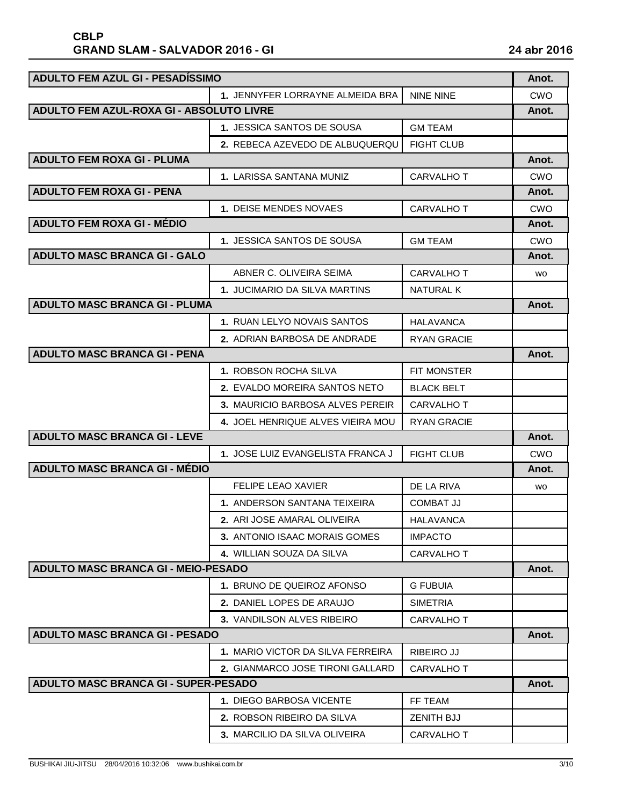| <b>ADULTO FEM AZUL GI - PESADÍSSIMO</b>     |                                          |                    | Anot.      |
|---------------------------------------------|------------------------------------------|--------------------|------------|
|                                             | 1. JENNYFER LORRAYNE ALMEIDA BRA         | <b>NINE NINE</b>   | <b>CWO</b> |
|                                             | ADULTO FEM AZUL-ROXA GI - ABSOLUTO LIVRE |                    |            |
|                                             | 1. JESSICA SANTOS DE SOUSA               | <b>GM TEAM</b>     |            |
|                                             | 2. REBECA AZEVEDO DE ALBUQUERQU          | <b>FIGHT CLUB</b>  |            |
| <b>ADULTO FEM ROXA GI - PLUMA</b>           |                                          |                    | Anot.      |
|                                             | 1. LARISSA SANTANA MUNIZ                 | <b>CARVALHO T</b>  | CWO        |
| <b>ADULTO FEM ROXA GI - PENA</b>            |                                          |                    | Anot.      |
|                                             | 1. DEISE MENDES NOVAES                   | <b>CARVALHO T</b>  | CWO        |
| <b>ADULTO FEM ROXA GI - MÉDIO</b>           |                                          |                    | Anot.      |
|                                             | 1. JESSICA SANTOS DE SOUSA               | <b>GM TEAM</b>     | <b>CWO</b> |
| <b>ADULTO MASC BRANCA GI - GALO</b>         |                                          |                    | Anot.      |
|                                             | ABNER C. OLIVEIRA SEIMA                  | <b>CARVALHO T</b>  | <b>WO</b>  |
|                                             | 1. JUCIMARIO DA SILVA MARTINS            | <b>NATURAL K</b>   |            |
| <b>ADULTO MASC BRANCA GI - PLUMA</b>        |                                          |                    | Anot.      |
|                                             | 1. RUAN LELYO NOVAIS SANTOS              | <b>HALAVANCA</b>   |            |
|                                             | 2. ADRIAN BARBOSA DE ANDRADE             | <b>RYAN GRACIE</b> |            |
| <b>ADULTO MASC BRANCA GI - PENA</b>         |                                          |                    | Anot.      |
|                                             | 1. ROBSON ROCHA SILVA                    | FIT MONSTER        |            |
|                                             | 2. EVALDO MOREIRA SANTOS NETO            | <b>BLACK BELT</b>  |            |
|                                             | 3. MAURICIO BARBOSA ALVES PEREIR         | <b>CARVALHO T</b>  |            |
|                                             | 4. JOEL HENRIQUE ALVES VIEIRA MOU        | RYAN GRACIE        |            |
| <b>ADULTO MASC BRANCA GI - LEVE</b>         |                                          |                    | Anot.      |
|                                             | 1. JOSE LUIZ EVANGELISTA FRANCA J        | <b>FIGHT CLUB</b>  | CWO        |
| <b>ADULTO MASC BRANCA GI - MÉDIO</b>        |                                          |                    | Anot.      |
|                                             | <b>FELIPE LEAO XAVIER</b>                | DE LA RIVA         | <b>WO</b>  |
|                                             | 1. ANDERSON SANTANA TEIXEIRA             | COMBAT JJ          |            |
|                                             | 2. ARI JOSE AMARAL OLIVEIRA              | <b>HALAVANCA</b>   |            |
|                                             | 3. ANTONIO ISAAC MORAIS GOMES            | <b>IMPACTO</b>     |            |
|                                             | 4. WILLIAN SOUZA DA SILVA                | <b>CARVALHO T</b>  |            |
| <b>ADULTO MASC BRANCA GI - MEIO-PESADO</b>  |                                          |                    | Anot.      |
|                                             | 1. BRUNO DE QUEIROZ AFONSO               | <b>G FUBUIA</b>    |            |
|                                             | 2. DANIEL LOPES DE ARAUJO                | <b>SIMETRIA</b>    |            |
|                                             | 3. VANDILSON ALVES RIBEIRO               | <b>CARVALHO T</b>  |            |
| <b>ADULTO MASC BRANCA GI - PESADO</b>       |                                          |                    | Anot.      |
|                                             | 1. MARIO VICTOR DA SILVA FERREIRA        | <b>RIBEIRO JJ</b>  |            |
|                                             | 2. GIANMARCO JOSE TIRONI GALLARD         | <b>CARVALHO T</b>  |            |
| <b>ADULTO MASC BRANCA GI - SUPER-PESADO</b> |                                          |                    | Anot.      |
|                                             | 1. DIEGO BARBOSA VICENTE                 | FF TEAM            |            |
|                                             | 2. ROBSON RIBEIRO DA SILVA               | <b>ZENITH BJJ</b>  |            |
|                                             | <b>3. MARCILIO DA SILVA OLIVEIRA</b>     | <b>CARVALHO T</b>  |            |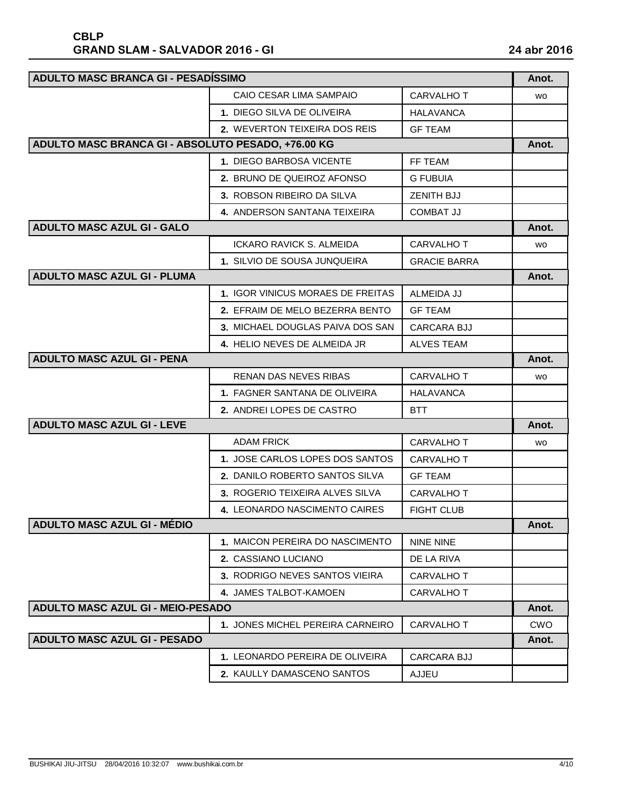| ADULTO MASC BRANCA GI - PESADÍSSIMO                |                                   |                     | Anot.      |
|----------------------------------------------------|-----------------------------------|---------------------|------------|
|                                                    | CAIO CESAR LIMA SAMPAIO           | <b>CARVALHO T</b>   | <b>WO</b>  |
|                                                    | 1. DIEGO SILVA DE OLIVEIRA        | <b>HALAVANCA</b>    |            |
|                                                    | 2. WEVERTON TEIXEIRA DOS REIS     | <b>GF TEAM</b>      |            |
| ADULTO MASC BRANCA GI - ABSOLUTO PESADO, +76.00 KG |                                   |                     | Anot.      |
|                                                    | 1. DIEGO BARBOSA VICENTE          | FF TEAM             |            |
|                                                    | 2. BRUNO DE QUEIROZ AFONSO        | <b>G FUBUIA</b>     |            |
|                                                    | 3. ROBSON RIBEIRO DA SILVA        | <b>ZENITH BJJ</b>   |            |
|                                                    | 4. ANDERSON SANTANA TEIXEIRA      | <b>COMBAT JJ</b>    |            |
| <b>ADULTO MASC AZUL GI - GALO</b>                  |                                   |                     | Anot.      |
|                                                    | <b>ICKARO RAVICK S. ALMEIDA</b>   | <b>CARVALHO T</b>   | <b>WO</b>  |
|                                                    | 1. SILVIO DE SOUSA JUNQUEIRA      | <b>GRACIE BARRA</b> |            |
| <b>ADULTO MASC AZUL GI - PLUMA</b>                 |                                   |                     | Anot.      |
|                                                    | 1. IGOR VINICUS MORAES DE FREITAS | ALMEIDA JJ          |            |
|                                                    | 2. EFRAIM DE MELO BEZERRA BENTO   | <b>GF TEAM</b>      |            |
|                                                    | 3. MICHAEL DOUGLAS PAIVA DOS SAN  | <b>CARCARA BJJ</b>  |            |
|                                                    | 4. HELIO NEVES DE ALMEIDA JR      | <b>ALVES TEAM</b>   |            |
| <b>ADULTO MASC AZUL GI - PENA</b>                  |                                   |                     | Anot.      |
|                                                    | RENAN DAS NEVES RIBAS             | <b>CARVALHO T</b>   | <b>WO</b>  |
|                                                    | 1. FAGNER SANTANA DE OLIVEIRA     | <b>HALAVANCA</b>    |            |
|                                                    | 2. ANDREI LOPES DE CASTRO         | BTT                 |            |
| <b>ADULTO MASC AZUL GI - LEVE</b>                  |                                   |                     | Anot.      |
|                                                    | <b>ADAM FRICK</b>                 | <b>CARVALHO T</b>   | <b>WO</b>  |
|                                                    | 1. JOSE CARLOS LOPES DOS SANTOS   | <b>CARVALHO T</b>   |            |
|                                                    | 2. DANILO ROBERTO SANTOS SILVA    | <b>GF TEAM</b>      |            |
|                                                    | 3. ROGERIO TEIXEIRA ALVES SILVA   | <b>CARVALHO T</b>   |            |
|                                                    | 4. LEONARDO NASCIMENTO CAIRES     | <b>FIGHT CLUB</b>   |            |
| <b>ADULTO MASC AZUL GI - MÉDIO</b>                 |                                   |                     | Anot.      |
|                                                    | 1. MAICON PEREIRA DO NASCIMENTO   | NINE NINE           |            |
|                                                    | 2. CASSIANO LUCIANO               | DE LA RIVA          |            |
|                                                    | 3. RODRIGO NEVES SANTOS VIEIRA    | CARVALHO T          |            |
|                                                    | 4. JAMES TALBOT-KAMOEN            | <b>CARVALHO T</b>   |            |
| <b>ADULTO MASC AZUL GI - MEIO-PESADO</b>           |                                   |                     | Anot.      |
|                                                    | 1. JONES MICHEL PEREIRA CARNEIRO  | <b>CARVALHO T</b>   | <b>CWO</b> |
| <b>ADULTO MASC AZUL GI - PESADO</b>                |                                   |                     | Anot.      |
|                                                    | 1. LEONARDO PEREIRA DE OLIVEIRA   | <b>CARCARA BJJ</b>  |            |
|                                                    | 2. KAULLY DAMASCENO SANTOS        | AJJEU               |            |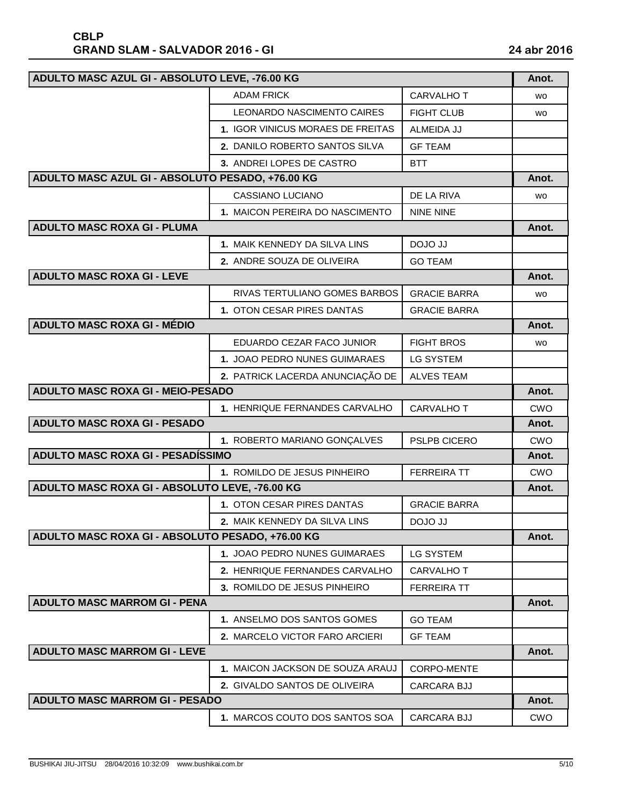| ADULTO MASC AZUL GI - ABSOLUTO LEVE, -76.00 KG   |                                   |                     | Anot.      |
|--------------------------------------------------|-----------------------------------|---------------------|------------|
|                                                  | <b>ADAM FRICK</b>                 | <b>CARVALHO T</b>   | <b>WO</b>  |
|                                                  | <b>LEONARDO NASCIMENTO CAIRES</b> | <b>FIGHT CLUB</b>   | <b>WO</b>  |
|                                                  | 1. IGOR VINICUS MORAES DE FREITAS | ALMEIDA JJ          |            |
|                                                  | 2. DANILO ROBERTO SANTOS SILVA    | <b>GF TEAM</b>      |            |
|                                                  | 3. ANDREI LOPES DE CASTRO         | <b>BTT</b>          |            |
| ADULTO MASC AZUL GI - ABSOLUTO PESADO, +76.00 KG |                                   |                     | Anot.      |
|                                                  | CASSIANO LUCIANO                  | DE LA RIVA          | <b>WO</b>  |
|                                                  | 1. MAICON PEREIRA DO NASCIMENTO   | <b>NINE NINE</b>    |            |
| <b>ADULTO MASC ROXA GI - PLUMA</b>               |                                   |                     | Anot.      |
|                                                  | 1. MAIK KENNEDY DA SILVA LINS     | DOJO JJ             |            |
|                                                  | 2. ANDRE SOUZA DE OLIVEIRA        | <b>GO TEAM</b>      |            |
| <b>ADULTO MASC ROXA GI - LEVE</b>                |                                   |                     | Anot.      |
|                                                  | RIVAS TERTULIANO GOMES BARBOS     | <b>GRACIE BARRA</b> | wo         |
|                                                  | 1. OTON CESAR PIRES DANTAS        | <b>GRACIE BARRA</b> |            |
| <b>ADULTO MASC ROXA GI - MÉDIO</b>               |                                   |                     | Anot.      |
|                                                  | EDUARDO CEZAR FACO JUNIOR         | <b>FIGHT BROS</b>   | wo         |
|                                                  | 1. JOAO PEDRO NUNES GUIMARAES     | <b>LG SYSTEM</b>    |            |
|                                                  | 2. PATRICK LACERDA ANUNCIAÇÃO DE  | <b>ALVES TEAM</b>   |            |
| ADULTO MASC ROXA GI - MEIO-PESADO                |                                   |                     | Anot.      |
|                                                  | 1. HENRIQUE FERNANDES CARVALHO    | <b>CARVALHO T</b>   | <b>CWO</b> |
| <b>ADULTO MASC ROXA GI - PESADO</b>              |                                   |                     | Anot.      |
|                                                  | 1. ROBERTO MARIANO GONÇALVES      | PSLPB CICERO        | <b>CWO</b> |
| ADULTO MASC ROXA GI - PESADISSIMO                |                                   |                     | Anot.      |
|                                                  | 1. ROMILDO DE JESUS PINHEIRO      | <b>FERREIRA TT</b>  | <b>CWO</b> |
| ADULTO MASC ROXA GI - ABSOLUTO LEVE, -76.00 KG   |                                   |                     | Anot.      |
|                                                  | 1. OTON CESAR PIRES DANTAS        | <b>GRACIE BARRA</b> |            |
|                                                  | 2. MAIK KENNEDY DA SILVA LINS     | DOJO JJ             |            |
| ADULTO MASC ROXA GI - ABSOLUTO PESADO, +76.00 KG |                                   |                     | Anot.      |
|                                                  | 1. JOAO PEDRO NUNES GUIMARAES     | <b>LG SYSTEM</b>    |            |
|                                                  | 2. HENRIQUE FERNANDES CARVALHO    | <b>CARVALHO T</b>   |            |
|                                                  | 3. ROMILDO DE JESUS PINHEIRO      | <b>FERREIRA TT</b>  |            |
| <b>ADULTO MASC MARROM GI - PENA</b>              |                                   |                     | Anot.      |
|                                                  | 1. ANSELMO DOS SANTOS GOMES       | <b>GO TEAM</b>      |            |
|                                                  | 2. MARCELO VICTOR FARO ARCIERI    | <b>GF TEAM</b>      |            |
| <b>ADULTO MASC MARROM GI - LEVE</b>              |                                   |                     | Anot.      |
|                                                  | 1. MAICON JACKSON DE SOUZA ARAUJ  | CORPO-MENTE         |            |
|                                                  | 2. GIVALDO SANTOS DE OLIVEIRA     | <b>CARCARA BJJ</b>  |            |
| <b>ADULTO MASC MARROM GI - PESADO</b>            |                                   |                     | Anot.      |
|                                                  | 1. MARCOS COUTO DOS SANTOS SOA    | <b>CARCARA BJJ</b>  | <b>CWO</b> |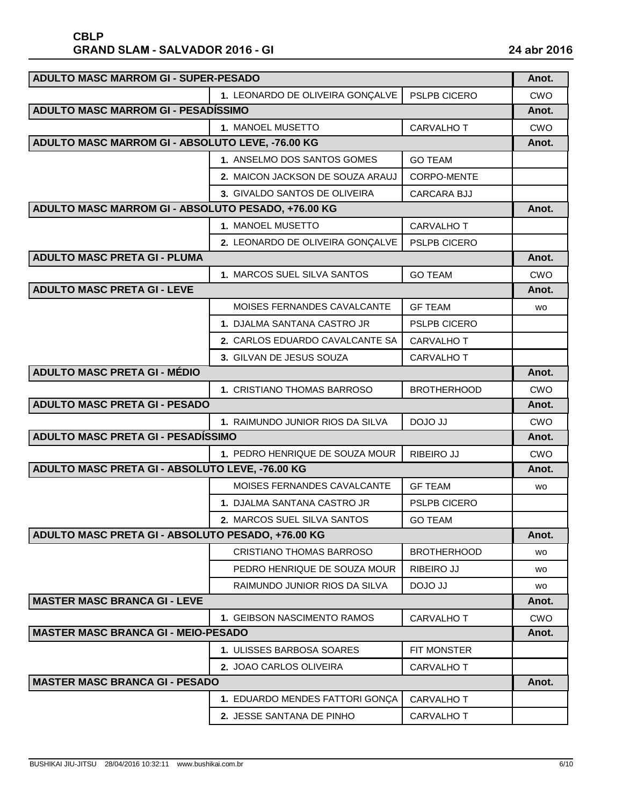| <b>ADULTO MASC MARROM GI - SUPER-PESADO</b>        |                                  |                    | Anot.      |
|----------------------------------------------------|----------------------------------|--------------------|------------|
|                                                    | 1. LEONARDO DE OLIVEIRA GONÇALVE | PSLPB CICERO       | <b>CWO</b> |
| ADULTO MASC MARROM GI - PESADÍSSIMO                |                                  |                    | Anot.      |
|                                                    | 1. MANOEL MUSETTO                | <b>CARVALHO T</b>  | <b>CWO</b> |
| ADULTO MASC MARROM GI - ABSOLUTO LEVE, -76.00 KG   |                                  |                    | Anot.      |
|                                                    | 1. ANSELMO DOS SANTOS GOMES      | <b>GO TEAM</b>     |            |
|                                                    | 2. MAICON JACKSON DE SOUZA ARAUJ | <b>CORPO-MENTE</b> |            |
|                                                    | 3. GIVALDO SANTOS DE OLIVEIRA    | <b>CARCARA BJJ</b> |            |
| ADULTO MASC MARROM GI - ABSOLUTO PESADO, +76.00 KG |                                  |                    | Anot.      |
|                                                    | 1. MANOEL MUSETTO                | CARVALHO T         |            |
|                                                    | 2. LEONARDO DE OLIVEIRA GONÇALVE | PSLPB CICERO       |            |
| <b>ADULTO MASC PRETA GI - PLUMA</b>                |                                  |                    | Anot.      |
|                                                    | 1. MARCOS SUEL SILVA SANTOS      | <b>GO TEAM</b>     | <b>CWO</b> |
| <b>ADULTO MASC PRETA GI - LEVE</b>                 |                                  |                    | Anot.      |
|                                                    | MOISES FERNANDES CAVALCANTE      | <b>GF TEAM</b>     | <b>WO</b>  |
|                                                    | 1. DJALMA SANTANA CASTRO JR      | PSLPB CICERO       |            |
|                                                    | 2. CARLOS EDUARDO CAVALCANTE SA  | <b>CARVALHO T</b>  |            |
|                                                    | 3. GILVAN DE JESUS SOUZA         | <b>CARVALHO T</b>  |            |
| <b>ADULTO MASC PRETA GI - MÉDIO</b>                |                                  |                    | Anot.      |
|                                                    | 1. CRISTIANO THOMAS BARROSO      | <b>BROTHERHOOD</b> | <b>CWO</b> |
| <b>ADULTO MASC PRETA GI - PESADO</b>               |                                  |                    | Anot.      |
|                                                    | 1. RAIMUNDO JUNIOR RIOS DA SILVA | DOJO JJ            | <b>CWO</b> |
| <b>ADULTO MASC PRETA GI - PESADÍSSIMO</b>          |                                  |                    | Anot.      |
|                                                    | 1. PEDRO HENRIQUE DE SOUZA MOUR  | RIBEIRO JJ         | <b>CWO</b> |
| ADULTO MASC PRETA GI - ABSOLUTO LEVE, -76.00 KG    |                                  |                    | Anot.      |
|                                                    | MOISES FERNANDES CAVALCANTE      | <b>GF TEAM</b>     | wo         |
|                                                    | 1. DJALMA SANTANA CASTRO JR      | PSLPB CICERO       |            |
|                                                    | 2. MARCOS SUEL SILVA SANTOS      | <b>GO TEAM</b>     |            |
| ADULTO MASC PRETA GI - ABSOLUTO PESADO, +76.00 KG  |                                  |                    | Anot.      |
|                                                    | <b>CRISTIANO THOMAS BARROSO</b>  | <b>BROTHERHOOD</b> | wo         |
|                                                    | PEDRO HENRIQUE DE SOUZA MOUR     | RIBEIRO JJ         | wo         |
|                                                    | RAIMUNDO JUNIOR RIOS DA SILVA    | DOJO JJ            | wo         |
| <b>MASTER MASC BRANCA GI - LEVE</b>                |                                  |                    | Anot.      |
|                                                    | 1. GEIBSON NASCIMENTO RAMOS      | CARVALHO T         | CWO        |
| <b>MASTER MASC BRANCA GI - MEIO-PESADO</b>         |                                  |                    | Anot.      |
|                                                    | 1. ULISSES BARBOSA SOARES        | FIT MONSTER        |            |
|                                                    | 2. JOAO CARLOS OLIVEIRA          | CARVALHO T         |            |
| <b>MASTER MASC BRANCA GI - PESADO</b>              |                                  |                    | Anot.      |
|                                                    |                                  |                    |            |
|                                                    | 1. EDUARDO MENDES FATTORI GONÇA  | <b>CARVALHO T</b>  |            |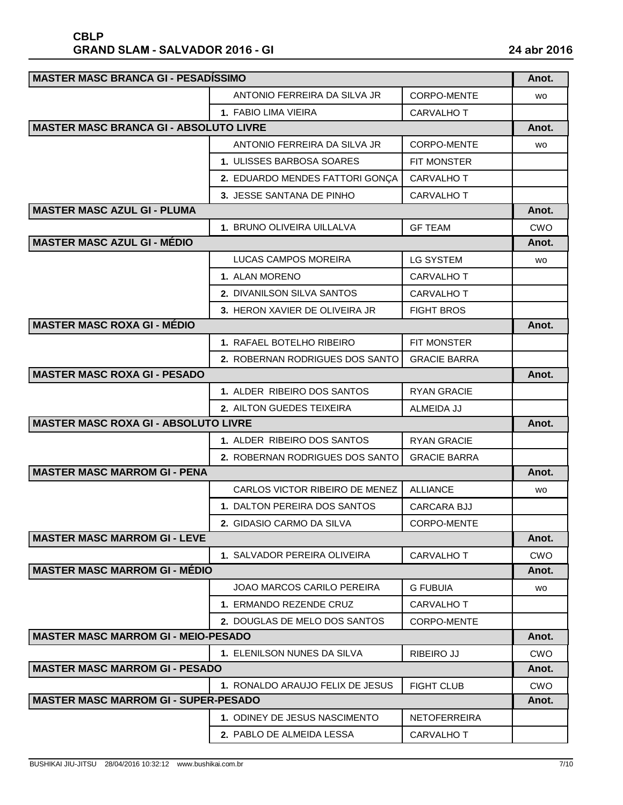| <b>MASTER MASC BRANCA GI - PESADÍSSIMO</b>    |                                  |                     | Anot.      |
|-----------------------------------------------|----------------------------------|---------------------|------------|
|                                               | ANTONIO FERREIRA DA SILVA JR     | <b>CORPO-MENTE</b>  | <b>WO</b>  |
|                                               | 1. FABIO LIMA VIEIRA             | <b>CARVALHO T</b>   |            |
| <b>MASTER MASC BRANCA GI - ABSOLUTO LIVRE</b> |                                  |                     | Anot.      |
|                                               | ANTONIO FERREIRA DA SILVA JR     | CORPO-MENTE         | <b>WO</b>  |
|                                               | 1. ULISSES BARBOSA SOARES        | <b>FIT MONSTER</b>  |            |
|                                               | 2. EDUARDO MENDES FATTORI GONÇA  | <b>CARVALHO T</b>   |            |
|                                               | 3. JESSE SANTANA DE PINHO        | CARVALHO T          |            |
| <b>MASTER MASC AZUL GI - PLUMA</b>            |                                  |                     | Anot.      |
|                                               | 1. BRUNO OLIVEIRA UILLALVA       | <b>GF TEAM</b>      | <b>CWO</b> |
| <b>MASTER MASC AZUL GI - MÉDIO</b>            |                                  |                     | Anot.      |
|                                               | LUCAS CAMPOS MOREIRA             | <b>LG SYSTEM</b>    | <b>WO</b>  |
|                                               | 1. ALAN MORENO                   | <b>CARVALHO T</b>   |            |
|                                               | 2. DIVANILSON SILVA SANTOS       | <b>CARVALHO T</b>   |            |
|                                               | 3. HERON XAVIER DE OLIVEIRA JR   | <b>FIGHT BROS</b>   |            |
| <b>MASTER MASC ROXA GI - MÉDIO</b>            |                                  |                     | Anot.      |
|                                               | 1. RAFAEL BOTELHO RIBEIRO        | FIT MONSTER         |            |
|                                               | 2. ROBERNAN RODRIGUES DOS SANTO  | <b>GRACIE BARRA</b> |            |
| <b>MASTER MASC ROXA GI - PESADO</b>           |                                  |                     | Anot.      |
|                                               | 1. ALDER RIBEIRO DOS SANTOS      | <b>RYAN GRACIE</b>  |            |
|                                               | 2. AILTON GUEDES TEIXEIRA        | ALMEIDA JJ          |            |
| <b>MASTER MASC ROXA GI - ABSOLUTO LIVRE</b>   |                                  |                     | Anot.      |
|                                               | 1. ALDER RIBEIRO DOS SANTOS      | <b>RYAN GRACIE</b>  |            |
|                                               | 2. ROBERNAN RODRIGUES DOS SANTO  | <b>GRACIE BARRA</b> |            |
| <b>MASTER MASC MARROM GI - PENA</b>           |                                  |                     | Anot.      |
|                                               | CARLOS VICTOR RIBEIRO DE MENEZ   | <b>ALLIANCE</b>     | <b>WO</b>  |
|                                               | 1. DALTON PEREIRA DOS SANTOS     | <b>CARCARA BJJ</b>  |            |
|                                               | 2. GIDASIO CARMO DA SILVA        | CORPO-MENTE         |            |
| <b>MASTER MASC MARROM GI - LEVE</b>           |                                  |                     | Anot.      |
|                                               | 1. SALVADOR PEREIRA OLIVEIRA     | <b>CARVALHO T</b>   | <b>CWO</b> |
| <b>MASTER MASC MARROM GI - MÉDIO</b>          |                                  |                     | Anot.      |
|                                               | JOAO MARCOS CARILO PEREIRA       | <b>G FUBUIA</b>     | <b>WO</b>  |
|                                               | 1. ERMANDO REZENDE CRUZ          | CARVALHO T          |            |
|                                               | 2. DOUGLAS DE MELO DOS SANTOS    | CORPO-MENTE         |            |
| <b>MASTER MASC MARROM GI - MEIO-PESADO</b>    |                                  |                     | Anot.      |
|                                               | 1. ELENILSON NUNES DA SILVA      | <b>RIBEIRO JJ</b>   | <b>CWO</b> |
| <b>MASTER MASC MARROM GI - PESADO</b>         |                                  |                     | Anot.      |
|                                               | 1. RONALDO ARAUJO FELIX DE JESUS | <b>FIGHT CLUB</b>   | <b>CWO</b> |
| <b>MASTER MASC MARROM GI - SUPER-PESADO</b>   |                                  |                     | Anot.      |
|                                               | 1. ODINEY DE JESUS NASCIMENTO    | <b>NETOFERREIRA</b> |            |
|                                               | 2. PABLO DE ALMEIDA LESSA        | CARVALHO T          |            |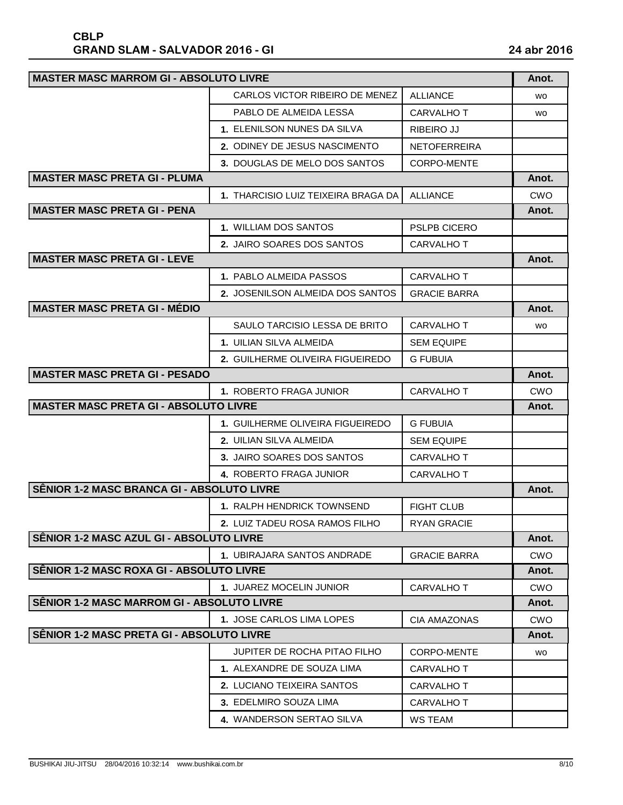| <b>MASTER MASC MARROM GI - ABSOLUTO LIVRE</b> |                                      |                     | Anot.      |
|-----------------------------------------------|--------------------------------------|---------------------|------------|
|                                               | CARLOS VICTOR RIBEIRO DE MENEZ       | <b>ALLIANCE</b>     | <b>WO</b>  |
|                                               | PABLO DE ALMEIDA LESSA               | CARVALHO T          | <b>WO</b>  |
|                                               | 1. ELENILSON NUNES DA SILVA          | RIBEIRO JJ          |            |
|                                               | 2. ODINEY DE JESUS NASCIMENTO        | <b>NETOFERREIRA</b> |            |
|                                               | <b>3. DOUGLAS DE MELO DOS SANTOS</b> | <b>CORPO-MENTE</b>  |            |
| <b>MASTER MASC PRETA GI - PLUMA</b>           |                                      |                     | Anot.      |
|                                               | 1. THARCISIO LUIZ TEIXEIRA BRAGA DA  | <b>ALLIANCE</b>     | CWO        |
| <b>MASTER MASC PRETA GI - PENA</b>            |                                      |                     | Anot.      |
|                                               | 1. WILLIAM DOS SANTOS                | <b>PSLPB CICERO</b> |            |
|                                               | 2. JAIRO SOARES DOS SANTOS           | <b>CARVALHO T</b>   |            |
| <b>MASTER MASC PRETA GI - LEVE</b>            |                                      |                     | Anot.      |
|                                               | 1. PABLO ALMEIDA PASSOS              | <b>CARVALHO T</b>   |            |
|                                               | 2. JOSENILSON ALMEIDA DOS SANTOS     | <b>GRACIE BARRA</b> |            |
| <b>MASTER MASC PRETA GI - MÉDIO</b>           |                                      |                     | Anot.      |
|                                               | SAULO TARCISIO LESSA DE BRITO        | <b>CARVALHO T</b>   | wo         |
|                                               | 1. UILIAN SILVA ALMEIDA              | <b>SEM EQUIPE</b>   |            |
|                                               | 2. GUILHERME OLIVEIRA FIGUEIREDO     | G FUBUIA            |            |
| <b>MASTER MASC PRETA GI - PESADO</b>          |                                      |                     | Anot.      |
|                                               | 1. ROBERTO FRAGA JUNIOR              | <b>CARVALHO T</b>   | CWO        |
| <b>MASTER MASC PRETA GI - ABSOLUTO LIVRE</b>  |                                      |                     | Anot.      |
|                                               | 1. GUILHERME OLIVEIRA FIGUEIREDO     | <b>G FUBUIA</b>     |            |
|                                               | <b>2. UILIAN SILVA ALMEIDA</b>       | <b>SEM EQUIPE</b>   |            |
|                                               | 3. JAIRO SOARES DOS SANTOS           | <b>CARVALHO T</b>   |            |
|                                               | 4. ROBERTO FRAGA JUNIOR              | <b>CARVALHO T</b>   |            |
| SÊNIOR 1-2 MASC BRANCA GI - ABSOLUTO LIVRE    |                                      |                     | Anot.      |
|                                               | 1. RALPH HENDRICK TOWNSEND           | <b>FIGHT CLUB</b>   |            |
|                                               | 2. LUIZ TADEU ROSA RAMOS FILHO       | <b>RYAN GRACIE</b>  |            |
| SÊNIOR 1-2 MASC AZUL GI - ABSOLUTO LIVRE      |                                      |                     | Anot.      |
|                                               | 1. UBIRAJARA SANTOS ANDRADE          | <b>GRACIE BARRA</b> | <b>CWO</b> |
| SÊNIOR 1-2 MASC ROXA GI - ABSOLUTO LIVRE      |                                      |                     | Anot.      |
|                                               | <b>1. JUAREZ MOCELIN JUNIOR</b>      | CARVALHO T          | <b>CWO</b> |
| SÊNIOR 1-2 MASC MARROM GI - ABSOLUTO LIVRE    |                                      |                     | Anot.      |
|                                               | 1. JOSE CARLOS LIMA LOPES            | <b>CIA AMAZONAS</b> | <b>CWO</b> |
| SÊNIOR 1-2 MASC PRETA GI - ABSOLUTO LIVRE     |                                      |                     | Anot.      |
|                                               | JUPITER DE ROCHA PITAO FILHO         | CORPO-MENTE         | <b>WO</b>  |
|                                               | 1. ALEXANDRE DE SOUZA LIMA           | <b>CARVALHO T</b>   |            |
|                                               | 2. LUCIANO TEIXEIRA SANTOS           | CARVALHO T          |            |
|                                               | 3. EDELMIRO SOUZA LIMA               | CARVALHO T          |            |
|                                               | 4. WANDERSON SERTAO SILVA            | WS TEAM             |            |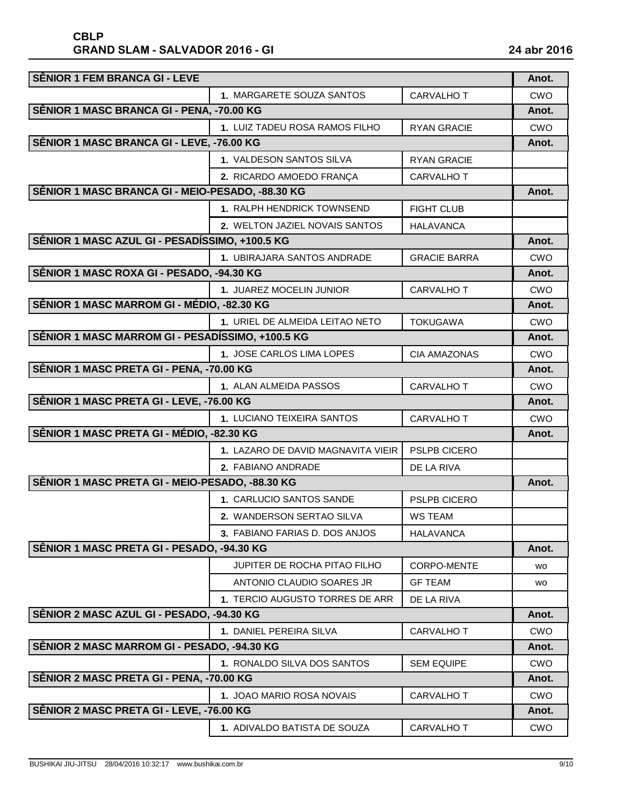| <b>SÊNIOR 1 FEM BRANCA GI - LEVE</b>             |                                    |                     | Anot.      |
|--------------------------------------------------|------------------------------------|---------------------|------------|
|                                                  | 1. MARGARETE SOUZA SANTOS          | CARVALHO T          | <b>CWO</b> |
| SÊNIOR 1 MASC BRANCA GI - PENA, -70.00 KG        |                                    |                     | Anot.      |
|                                                  | 1. LUIZ TADEU ROSA RAMOS FILHO     | <b>RYAN GRACIE</b>  | <b>CWO</b> |
| SÊNIOR 1 MASC BRANCA GI - LEVE, -76.00 KG        |                                    |                     | Anot.      |
|                                                  | <b>1. VALDESON SANTOS SILVA</b>    | <b>RYAN GRACIE</b>  |            |
|                                                  | 2. RICARDO AMOEDO FRANÇA           | <b>CARVALHOT</b>    |            |
| SÊNIOR 1 MASC BRANCA GI - MEIO-PESADO, -88.30 KG |                                    |                     | Anot.      |
|                                                  | 1. RALPH HENDRICK TOWNSEND         | <b>FIGHT CLUB</b>   |            |
|                                                  | 2. WELTON JAZIEL NOVAIS SANTOS     | <b>HALAVANCA</b>    |            |
| SÊNIOR 1 MASC AZUL GI - PESADÍSSIMO, +100.5 KG   |                                    |                     | Anot.      |
|                                                  | 1. UBIRAJARA SANTOS ANDRADE        | <b>GRACIE BARRA</b> | <b>CWO</b> |
| SÊNIOR 1 MASC ROXA GI - PESADO, -94.30 KG        |                                    |                     | Anot.      |
|                                                  | 1. JUAREZ MOCELIN JUNIOR           | <b>CARVALHO T</b>   | <b>CWO</b> |
| SÊNIOR 1 MASC MARROM GI - MÉDIO, -82.30 KG       |                                    |                     | Anot.      |
|                                                  | 1. URIEL DE ALMEIDA LEITAO NETO    | <b>TOKUGAWA</b>     | <b>CWO</b> |
| SÊNIOR 1 MASC MARROM GI - PESADÍSSIMO, +100.5 KG |                                    |                     | Anot.      |
|                                                  | 1. JOSE CARLOS LIMA LOPES          | <b>CIA AMAZONAS</b> | CWO        |
| SÊNIOR 1 MASC PRETA GI - PENA, -70.00 KG         |                                    |                     | Anot.      |
|                                                  | 1. ALAN ALMEIDA PASSOS             | <b>CARVALHO T</b>   | <b>CWO</b> |
| SÊNIOR 1 MASC PRETA GI - LEVE, -76.00 KG         |                                    |                     | Anot.      |
|                                                  | 1. LUCIANO TEIXEIRA SANTOS         | <b>CARVALHO T</b>   | CWO        |
| SÊNIOR 1 MASC PRETA GI - MÉDIO, -82.30 KG        |                                    |                     | Anot.      |
|                                                  | 1. LAZARO DE DAVID MAGNAVITA VIEIR | PSLPB CICERO        |            |
|                                                  | 2. FABIANO ANDRADE                 | DE LA RIVA          |            |
| SÊNIOR 1 MASC PRETA GI - MEIO-PESADO, -88.30 KG  |                                    |                     |            |
|                                                  | 1. CARLUCIO SANTOS SANDE           | PSLPB CICERO        |            |
|                                                  | 2. WANDERSON SERTAO SILVA          | <b>WS TEAM</b>      |            |
|                                                  | 3. FABIANO FARIAS D. DOS ANJOS     | <b>HALAVANCA</b>    |            |
| SÊNIOR 1 MASC PRETA GI - PESADO, -94.30 KG       |                                    |                     | Anot.      |
|                                                  | JUPITER DE ROCHA PITAO FILHO       | <b>CORPO-MENTE</b>  | <b>WO</b>  |
|                                                  | ANTONIO CLAUDIO SOARES JR          | <b>GF TEAM</b>      | <b>WO</b>  |
|                                                  | 1. TERCIO AUGUSTO TORRES DE ARR    | DE LA RIVA          |            |
| SÊNIOR 2 MASC AZUL GI - PESADO, -94.30 KG        |                                    |                     | Anot.      |
|                                                  | 1. DANIEL PEREIRA SILVA            | CARVALHO T          | <b>CWO</b> |
| SÊNIOR 2 MASC MARROM GI - PESADO, -94.30 KG      |                                    |                     | Anot.      |
|                                                  | 1. RONALDO SILVA DOS SANTOS        | <b>SEM EQUIPE</b>   | <b>CWO</b> |
| SÊNIOR 2 MASC PRETA GI - PENA, -70.00 KG         |                                    |                     | Anot.      |
|                                                  | 1. JOAO MARIO ROSA NOVAIS          | <b>CARVALHO T</b>   | CWO        |
| SÊNIOR 2 MASC PRETA GI - LEVE, -76.00 KG         |                                    |                     | Anot.      |
|                                                  | 1. ADIVALDO BATISTA DE SOUZA       | CARVALHO T          | <b>CWO</b> |